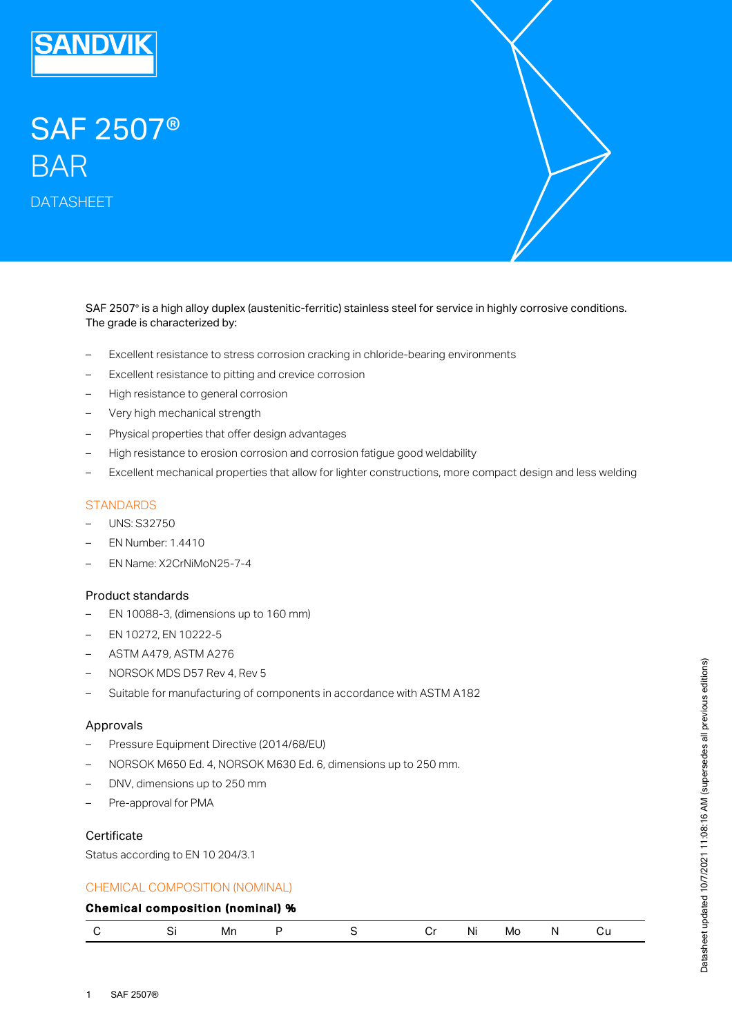

# SAF 2507® BAR

DATASHEET

SAF 2507® is a high alloy duplex (austenitic-ferritic) stainless steel for service in highly corrosive conditions. The grade is characterized by:

- Excellent resistance to stress corrosion cracking in chloride-bearing environments
- Excellent resistance to pitting and crevice corrosion
- High resistance to general corrosion
- Very high mechanical strength
- Physical properties that offer design advantages
- High resistance to erosion corrosion and corrosion fatigue good weldability
- Excellent mechanical properties that allow for lighter constructions, more compact design and less welding

# **STANDARDS**

- UNS: S32750
- EN Number: 1.4410
- EN Name: X2CrNiMoN25-7-4

#### Product standards

- EN 10088-3, (dimensions up to 160 mm)
- EN 10272, EN 10222-5
- ASTM A479, ASTM A276
- NORSOK MDS D57 Rev 4, Rev 5
- Suitable for manufacturing of components in accordance with ASTM A182

#### Approvals

- Pressure Equipment Directive (2014/68/EU)
- NORSOK M650 Ed. 4, NORSOK M630 Ed. 6, dimensions up to 250 mm.
- DNV, dimensions up to 250 mm
- Pre-approval for PMA

# **Certificate**

Status according to EN 10 204/3.1

## CHEMICAL COMPOSITION (NOMINAL)

# Chemical composition (nominal) %

|  |  | Mn |  |  |  | <br>NL | MO | л. |  |
|--|--|----|--|--|--|--------|----|----|--|
|--|--|----|--|--|--|--------|----|----|--|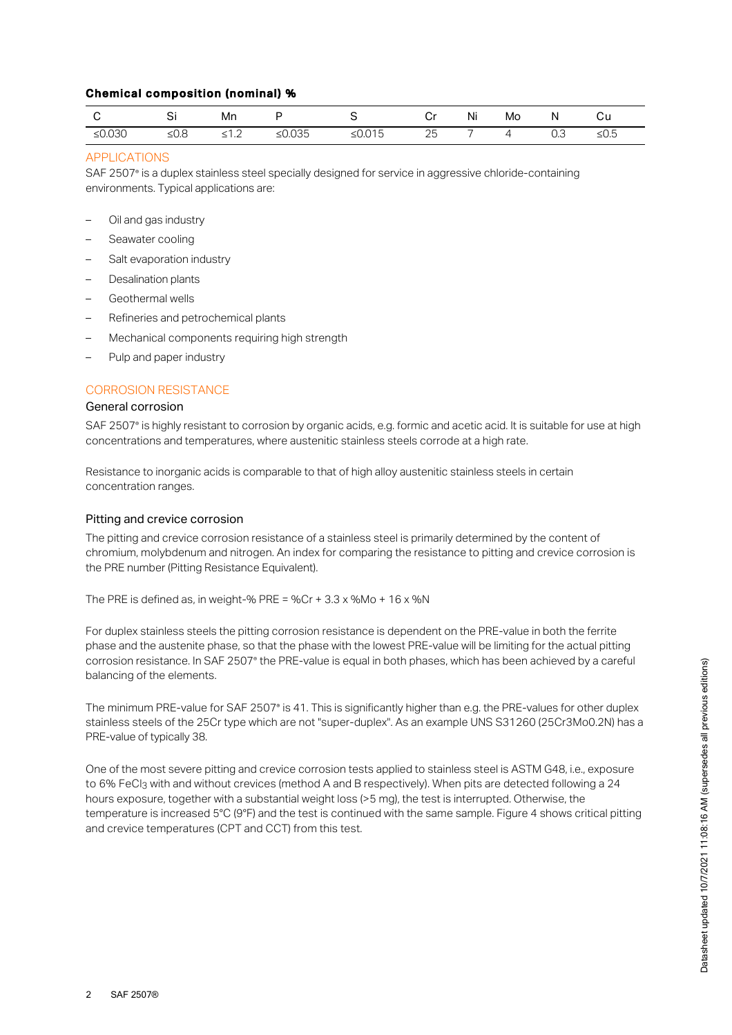# Chemical composition (nominal) %

|           |         | мn                |           |           | C٢ | Ni | Mo |     | υü   |
|-----------|---------|-------------------|-----------|-----------|----|----|----|-----|------|
| ≤ $0.030$ | ≤ $0.8$ | . . <u>.</u><br>- | ≤ $0.035$ | ≤ $0.015$ | 25 |    |    | U.J | 2∪.J |

# APPLICATIONS

SAF 2507° is a duplex stainless steel specially designed for service in aggressive chloride-containing environments. Typical applications are:

- Oil and gas industry
- Seawater cooling
- Salt evaporation industry
- Desalination plants
- Geothermal wells
- Refineries and petrochemical plants
- Mechanical components requiring high strength
- Pulp and paper industry

# CORROSION RESISTANCE

#### General corrosion

SAF 2507° is highly resistant to corrosion by organic acids, e.g. formic and acetic acid. It is suitable for use at high concentrations and temperatures, where austenitic stainless steels corrode at a high rate.

Resistance to inorganic acids is comparable to that of high alloy austenitic stainless steels in certain concentration ranges.

## Pitting and crevice corrosion

The pitting and crevice corrosion resistance of a stainless steel is primarily determined by the content of chromium, molybdenum and nitrogen. An index for comparing the resistance to pitting and crevice corrosion is the PRE number (Pitting Resistance Equivalent).

The PRE is defined as, in weight-% PRE = %Cr +  $3.3 \times$  %Mo +  $16 \times$  %N

For duplex stainless steels the pitting corrosion resistance is dependent on the PRE-value in both the ferrite phase and the austenite phase, so that the phase with the lowest PRE-value will be limiting for the actual pitting corrosion resistance. In SAF 2507° the PRE-value is equal in both phases, which has been achieved by a careful balancing of the elements.

The minimum PRE-value for SAF 2507® is 41. This is significantly higher than e.g. the PRE-values for other duplex stainless steels of the 25Cr type which are not "super-duplex". As an example UNS S31260 (25Cr3Mo0.2N) has a PRE-value of typically 38.

One of the most severe pitting and crevice corrosion tests applied to stainless steel is ASTM G48, i.e., exposure to 6% FeCl3 with and without crevices (method A and B respectively). When pits are detected following a 24 hours exposure, together with a substantial weight loss (>5 mg), the test is interrupted. Otherwise, the temperature is increased 5°C (9°F) and the test is continued with the same sample. Figure 4 shows critical pitting and crevice temperatures (CPT and CCT) from this test.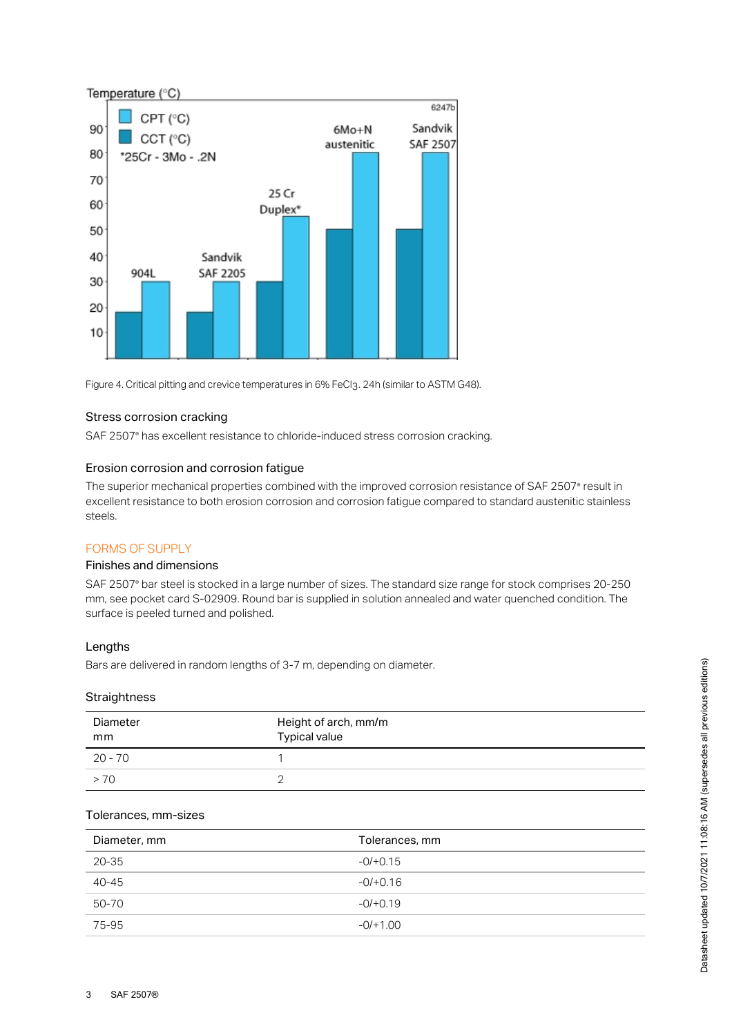

Figure 4. Critical pitting and crevice temperatures in 6% FeCl3. 24h (similar to ASTM G48).

## Stress corrosion cracking

SAF 2507° has excellent resistance to chloride-induced stress corrosion cracking.

#### Erosion corrosion and corrosion fatigue

The superior mechanical properties combined with the improved corrosion resistance of SAF 2507° result in excellent resistance to both erosion corrosion and corrosion fatigue compared to standard austenitic stainless steels.

## FORMS OF SUPPLY

# Finishes and dimensions

SAF 2507° bar steel is stocked in a large number of sizes. The standard size range for stock comprises 20-250 mm, see pocket card S-02909. Round bar is supplied in solution annealed and water quenched condition. The surface is peeled turned and polished.

#### Lengths

Bars are delivered in random lengths of 3-7 m, depending on diameter.

#### **Straightness**

| Diameter<br>mm | Height of arch, mm/m<br><b>Typical value</b> |
|----------------|----------------------------------------------|
| $20 - 70$      |                                              |
| >70            |                                              |

## Tolerances, mm-sizes

| Diameter, mm | Tolerances, mm |
|--------------|----------------|
| 20-35        | $-0/+0.15$     |
| 40-45        | $-0/+0.16$     |
| 50-70        | $-0/+0.19$     |
| 75-95        | $-0/+1.00$     |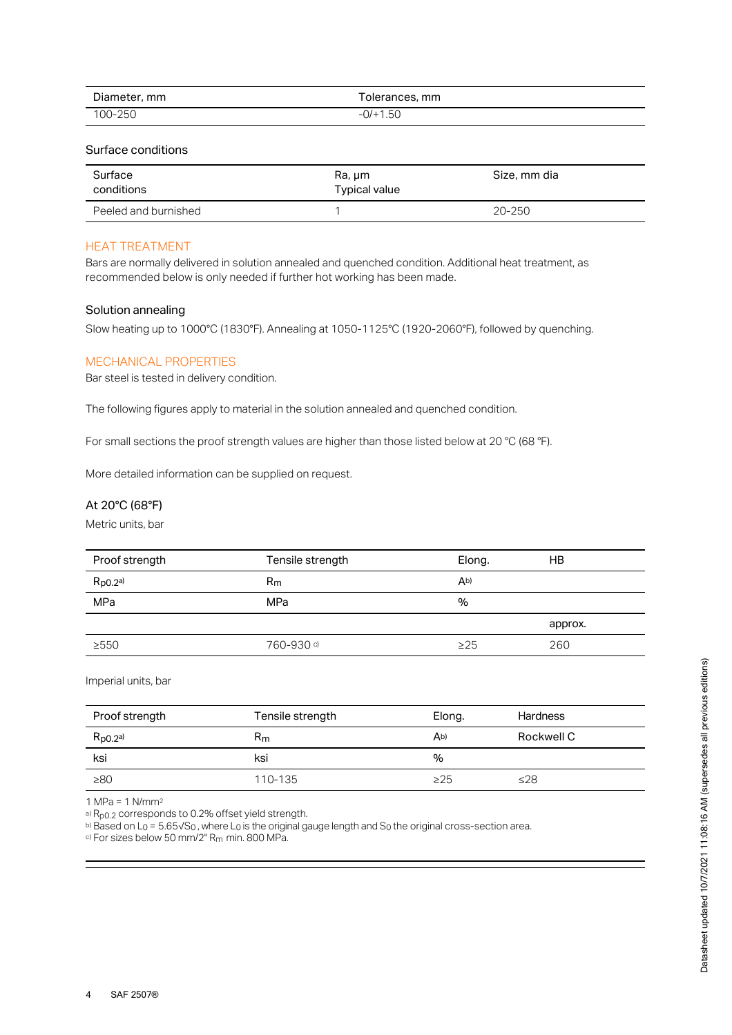| Diameter,<br>mm    | olerances, mm           |
|--------------------|-------------------------|
| $-250$<br>$00 - 2$ | .5U<br>+ ال<br>$\equiv$ |

#### Surface conditions

| Surface<br>conditions | Ra, um<br><b>Typical value</b> | Size, mm dia |
|-----------------------|--------------------------------|--------------|
| Peeled and burnished  |                                | 20-250       |

#### HEAT TREATMENT

Bars are normally delivered in solution annealed and quenched condition. Additional heat treatment, as recommended below is only needed if further hot working has been made.

#### Solution annealing

Slow heating up to 1000°C (1830°F). Annealing at 1050-1125°C (1920-2060°F), followed by quenching.

# MECHANICAL PROPERTIES

Bar steel is tested in delivery condition.

The following figures apply to material in the solution annealed and quenched condition.

For small sections the proof strength values are higher than those listed below at 20 °C (68 °F).

More detailed information can be supplied on request.

# At 20°C (68°F)

Metric units, bar

| Proof strength | Tensile strength | Elong.         | HB      |
|----------------|------------------|----------------|---------|
| $R_{p0.2}$ a)  | $R_{m}$          | A <sub>b</sub> |         |
| MPa            | MPa              | $\%$           |         |
|                |                  |                | approx. |
| >550           | 760-930 ේ        | $\geq$ 25      | 260     |

Imperial units, bar

| Proof strength | Tensile strength | Elong.         | <b>Hardness</b> |
|----------------|------------------|----------------|-----------------|
| $R_{p0.2}$ a)  | Rm               | A <sub>b</sub> | Rockwell C      |
| ksi            | ksi              | %              |                 |
| $\geq 80$      | 110-135          | $\geq$ 25      | ≤28             |

1 MPa = 1 N/mm 2

a) R<sub>p0.2</sub> corresponds to 0.2% offset yield strength.

b) Based on L $_{\rm 0}$  = 5.65√S $_{\rm 0}$  , where L $_{\rm 0}$  is the original gauge length and S $_{\rm 0}$  the original cross-section area.

 $\circ$ ) For sizes below 50 mm/2" R<sub>m</sub> min. 800 MPa.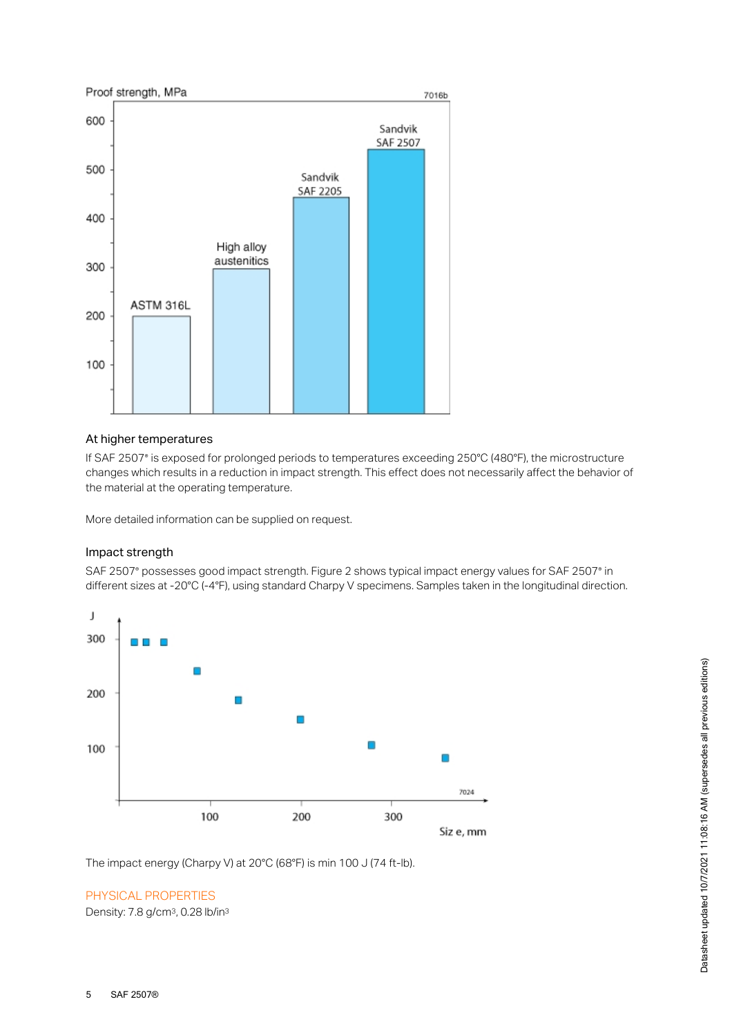

# At higher temperatures

If SAF 2507 is exposed for prolonged periods to temperatures exceeding 250°C (480°F), the microstructure ® changes which results in a reduction in impact strength. This effect does not necessarily affect the behavior of the material at the operating temperature.

More detailed information can be supplied on request.

## Impact strength

SAF 2507° possesses good impact strength. Figure 2 shows typical impact energy values for SAF 2507° in different sizes at -20°C (-4°F), using standard Charpy V specimens. Samples taken in the longitudinal direction.



The impact energy (Charpy V) at 20°C (68°F) is min 100 J (74 ft-lb).

# PHYSICAL PROPERTIES

Density: 7.8 g/cm<sup>3</sup>, 0.28 lb/in<sup>3</sup>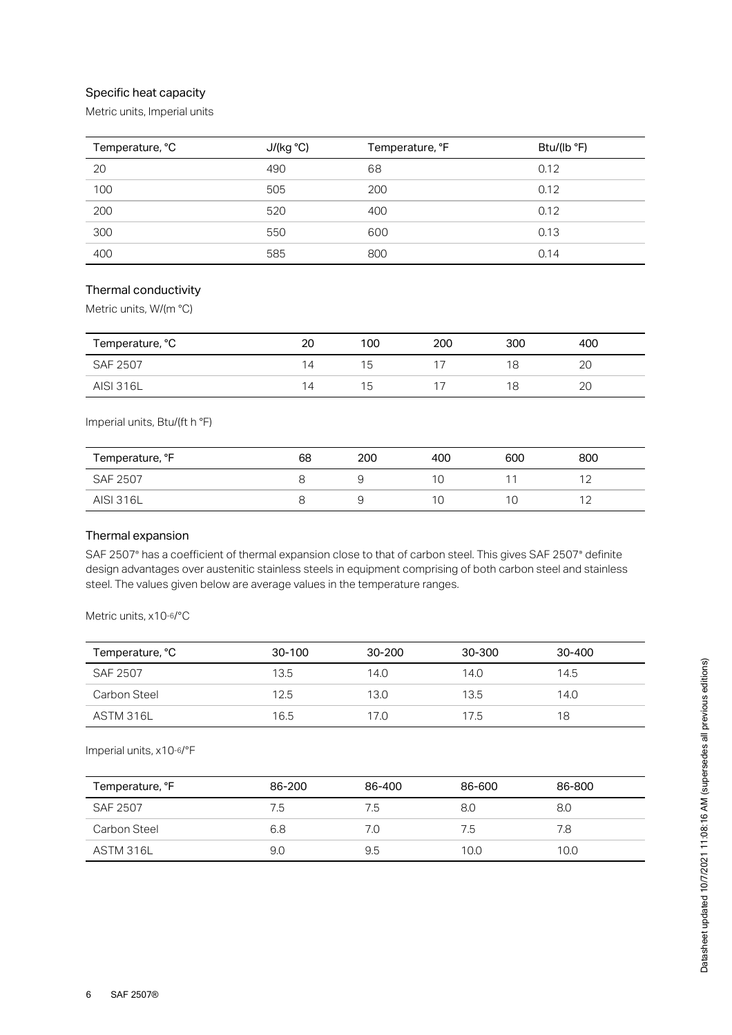# Specific heat capacity

Metric units, Imperial units

| Temperature, °C | J/(kg °C) | Temperature, °F | Btu/(lb °F) |
|-----------------|-----------|-----------------|-------------|
| 20              | 490       | 68              | 0.12        |
| 100             | 505       | 200             | 0.12        |
| 200             | 520       | 400             | 0.12        |
| 300             | 550       | 600             | 0.13        |
| 400             | 585       | 800             | 0.14        |

# Thermal conductivity

Metric units, W/(m °C)

| Temperature, °C  | 20             | 100 | 200 | 300 | 400 |
|------------------|----------------|-----|-----|-----|-----|
| <b>SAF 2507</b>  | $\overline{4}$ | ט ו |     |     | 2C  |
| <b>AISI 316L</b> | 14             | 15. |     |     | 2C  |

Imperial units, Btu/(ft h °F)

| Temperature, °F | 68 | 200 | 400 | 600 | 800 |
|-----------------|----|-----|-----|-----|-----|
| SAF 2507        |    |     |     |     |     |
| AISI 316L       |    |     |     |     |     |

# Thermal expansion

SAF 2507° has a coefficient of thermal expansion close to that of carbon steel. This gives SAF 2507° definite design advantages over austenitic stainless steels in equipment comprising of both carbon steel and stainless steel. The values given below are average values in the temperature ranges.

Metric units, x10-6/°C

| Temperature, °C | 30-100 | 30-200 | 30-300 | 30-400 |
|-----------------|--------|--------|--------|--------|
| SAF 2507        | 13.5   | 14.0   | 14.0   | 14.5   |
| Carbon Steel    | 12.5   | 13.0   | 13.5   | 14.0   |
| ASTM 316L       | 16.5   | 17.O   | 17.5   | 18     |

Imperial units, x10-6/°F

| Temperature, °F | 86-200 | 86-400 | 86-600 | 86-800 |
|-----------------|--------|--------|--------|--------|
| SAF 2507        | 7.5    | 7.5    | 8.0    | 8.0    |
| Carbon Steel    | 6.8    | 7.0    | 7.5    | 7.8    |
| ASTM 316L       | 9.0    | 9.5    | 10.0   | 10.0   |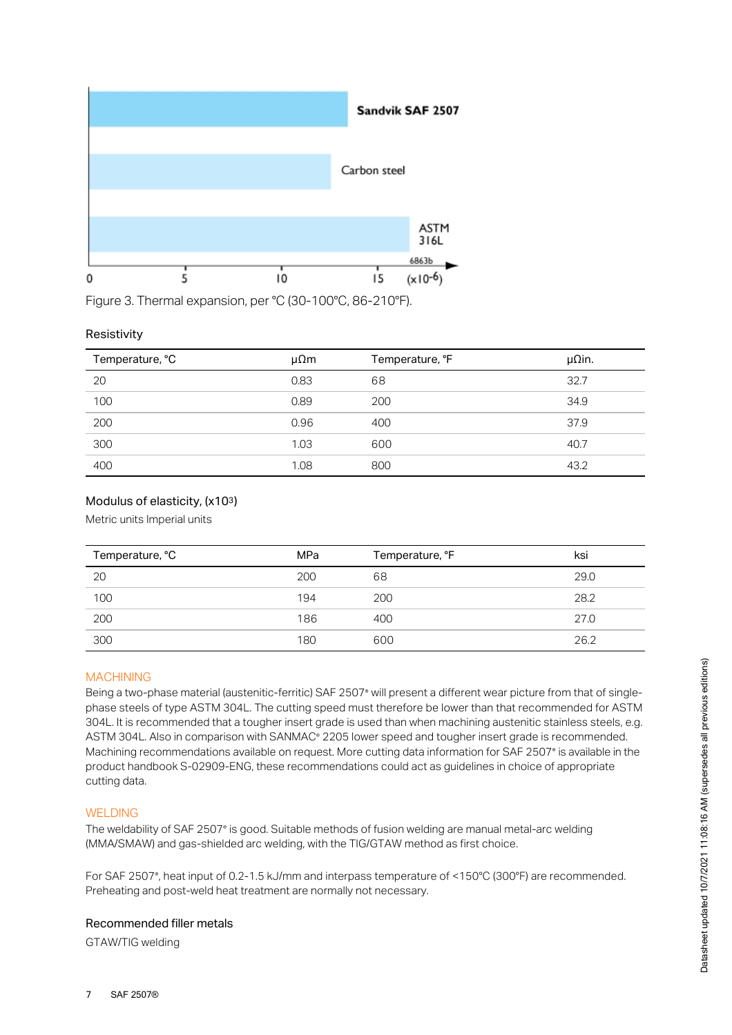

Figure 3. Thermal expansion, per °C (30-100°C, 86-210°F).

# Resistivity

| Temperature, °C | μΩm  | Temperature, °F | $\mu$ Qin. |
|-----------------|------|-----------------|------------|
| 20              | 0.83 | 68              | 32.7       |
| 100             | 0.89 | 200             | 34.9       |
| 200             | 0.96 | 400             | 37.9       |
| 300             | 1.03 | 600             | 40.7       |
| 400             | 1.08 | 800             | 43.2       |

# Modulus of elasticity, (x103)

Metric units Imperial units

| Temperature, °C | MPa | Temperature, °F | ksi  |
|-----------------|-----|-----------------|------|
| 20              | 200 | 68              | 29.0 |
| 100             | 194 | 200             | 28.2 |
| 200             | 186 | 400             | 27.0 |
| 300             | 180 | 600             | 26.2 |

## MACHINING

Being a two-phase material (austenitic-ferritic) SAF 2507° will present a different wear picture from that of singlephase steels of type ASTM 304L. The cutting speed must therefore be lower than that recommended for ASTM 304L. It is recommended that a tougher insert grade is used than when machining austenitic stainless steels, e.g. ASTM 304L. Also in comparison with SANMAC® 2205 lower speed and tougher insert grade is recommended. Machining recommendations available on request. More cutting data information for SAF 2507® is available in the product handbook S-02909-ENG, these recommendations could act as guidelines in choice of appropriate cutting data.

## WELDING

The weldability of SAF 2507° is good. Suitable methods of fusion welding are manual metal-arc welding (MMA/SMAW) and gas-shielded arc welding, with the TIG/GTAW method as first choice.

For SAF 2507°, heat input of 0.2-1.5 kJ/mm and interpass temperature of <150°C (300°F) are recommended. Preheating and post-weld heat treatment are normally not necessary.

## Recommended filler metals

GTAW/TIG welding